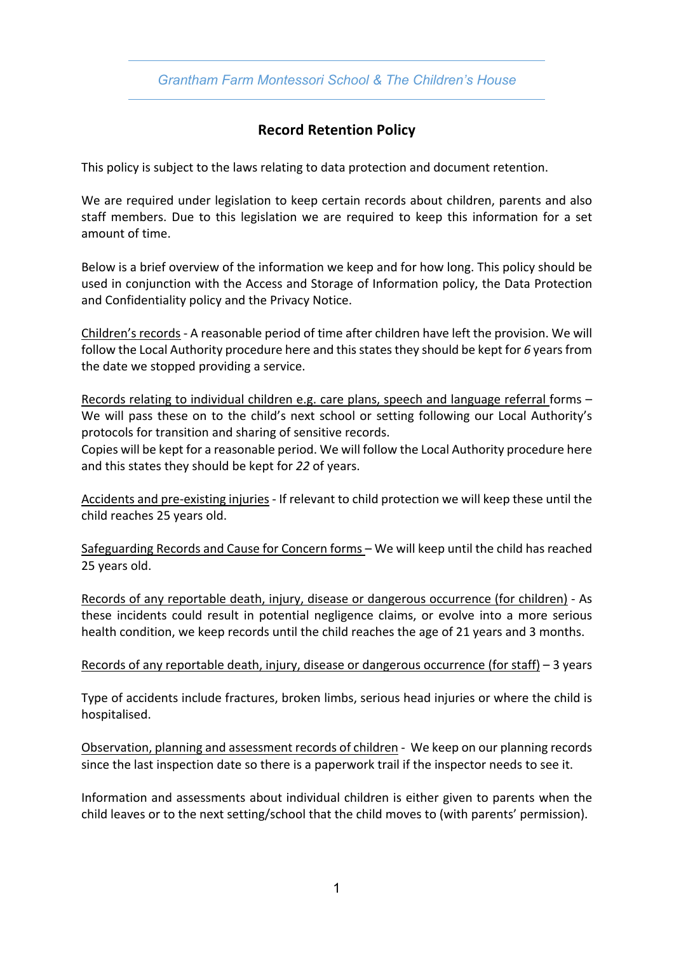## *Grantham Farm Montessori School & The Children's House*

## **Record Retention Policy**

This policy is subject to the laws relating to data protection and document retention.

We are required under legislation to keep certain records about children, parents and also staff members. Due to this legislation we are required to keep this information for a set amount of time.

Below is a brief overview of the information we keep and for how long. This policy should be used in conjunction with the Access and Storage of Information policy, the Data Protection and Confidentiality policy and the Privacy Notice.

Children's records - A reasonable period of time after children have left the provision. We will follow the Local Authority procedure here and this states they should be kept for 6 years from the date we stopped providing a service.

Records relating to individual children e.g. care plans, speech and language referral forms – We will pass these on to the child's next school or setting following our Local Authority's protocols for transition and sharing of sensitive records.

Copies will be kept for a reasonable period. We will follow the Local Authority procedure here and this states they should be kept for *22* of years.

Accidents and pre-existing injuries - If relevant to child protection we will keep these until the child reaches 25 years old.

Safeguarding Records and Cause for Concern forms – We will keep until the child has reached 25 years old.

Records of any reportable death, injury, disease or dangerous occurrence (for children) - As these incidents could result in potential negligence claims, or evolve into a more serious health condition, we keep records until the child reaches the age of 21 years and 3 months.

## Records of any reportable death, injury, disease or dangerous occurrence (for staff) – 3 years

Type of accidents include fractures, broken limbs, serious head injuries or where the child is hospitalised.

Observation, planning and assessment records of children - We keep on our planning records since the last inspection date so there is a paperwork trail if the inspector needs to see it.

Information and assessments about individual children is either given to parents when the child leaves or to the next setting/school that the child moves to (with parents' permission).